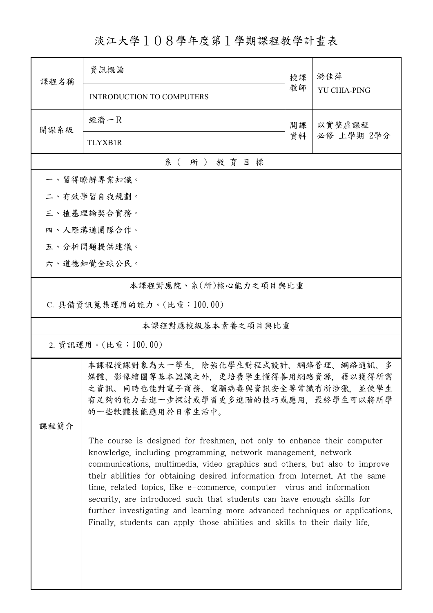## 淡江大學108學年度第1學期課程教學計畫表

| 課程名稱                                                                                                                                                                                 | 資訊概論                                                                                                                                                                                                                                                                                                                                                                                                                                                                                                                                                                                                                     | 授課           | 游佳萍          |  |
|--------------------------------------------------------------------------------------------------------------------------------------------------------------------------------------|--------------------------------------------------------------------------------------------------------------------------------------------------------------------------------------------------------------------------------------------------------------------------------------------------------------------------------------------------------------------------------------------------------------------------------------------------------------------------------------------------------------------------------------------------------------------------------------------------------------------------|--------------|--------------|--|
|                                                                                                                                                                                      | <b>INTRODUCTION TO COMPUTERS</b>                                                                                                                                                                                                                                                                                                                                                                                                                                                                                                                                                                                         | 教師           | YU CHIA-PING |  |
| 開課系級                                                                                                                                                                                 | 經濟一尺                                                                                                                                                                                                                                                                                                                                                                                                                                                                                                                                                                                                                     | 以實整虛課程<br>開課 |              |  |
|                                                                                                                                                                                      | <b>TLYXB1R</b>                                                                                                                                                                                                                                                                                                                                                                                                                                                                                                                                                                                                           | 資料           | 必修 上學期 2學分   |  |
|                                                                                                                                                                                      | 系(所)教育目標                                                                                                                                                                                                                                                                                                                                                                                                                                                                                                                                                                                                                 |              |              |  |
|                                                                                                                                                                                      | 一、習得瞭解專業知識。                                                                                                                                                                                                                                                                                                                                                                                                                                                                                                                                                                                                              |              |              |  |
|                                                                                                                                                                                      | 二、有效學習自我規劃。                                                                                                                                                                                                                                                                                                                                                                                                                                                                                                                                                                                                              |              |              |  |
|                                                                                                                                                                                      | 三、植基理論契合實務。                                                                                                                                                                                                                                                                                                                                                                                                                                                                                                                                                                                                              |              |              |  |
|                                                                                                                                                                                      | 四、人際溝通團隊合作。                                                                                                                                                                                                                                                                                                                                                                                                                                                                                                                                                                                                              |              |              |  |
|                                                                                                                                                                                      | 五、分析問題提供建議。                                                                                                                                                                                                                                                                                                                                                                                                                                                                                                                                                                                                              |              |              |  |
|                                                                                                                                                                                      | 六、道德知覺全球公民。                                                                                                                                                                                                                                                                                                                                                                                                                                                                                                                                                                                                              |              |              |  |
| 本課程對應院、系(所)核心能力之項目與比重                                                                                                                                                                |                                                                                                                                                                                                                                                                                                                                                                                                                                                                                                                                                                                                                          |              |              |  |
| C. 具備資訊蒐集運用的能力。(比重:100.00)                                                                                                                                                           |                                                                                                                                                                                                                                                                                                                                                                                                                                                                                                                                                                                                                          |              |              |  |
| 本課程對應校級基本素養之項目與比重                                                                                                                                                                    |                                                                                                                                                                                                                                                                                                                                                                                                                                                                                                                                                                                                                          |              |              |  |
| 2. 資訊運用。(比重:100.00)                                                                                                                                                                  |                                                                                                                                                                                                                                                                                                                                                                                                                                                                                                                                                                                                                          |              |              |  |
| 本課程授課對象為大一學生,除強化學生對程式設計、網路管理、網路通訊、多<br>媒體、影像繪圖等基本認識之外,更培養學生懂得善用網路資源,藉以獲得所需<br>之資訊。同時也能對電子商務、電腦病毒與資訊安全等常識有所涉獵,並使學生<br>有足夠的能力去進一步探討或學習更多進階的技巧或應用,最終學生可以將所學<br>的一些軟體技能應用於日常生活中。<br>课程简介 |                                                                                                                                                                                                                                                                                                                                                                                                                                                                                                                                                                                                                          |              |              |  |
|                                                                                                                                                                                      | The course is designed for freshmen, not only to enhance their computer<br>knowledge, including programming, network management, network<br>communications, multimedia, video graphics and others, but also to improve<br>their abilities for obtaining desired information from Internet. At the same<br>time, related topics, like e-commerce, computer virus and information<br>security, are introduced such that students can have enough skills for<br>further investigating and learning more advanced techniques or applications.<br>Finally, students can apply those abilities and skills to their daily life. |              |              |  |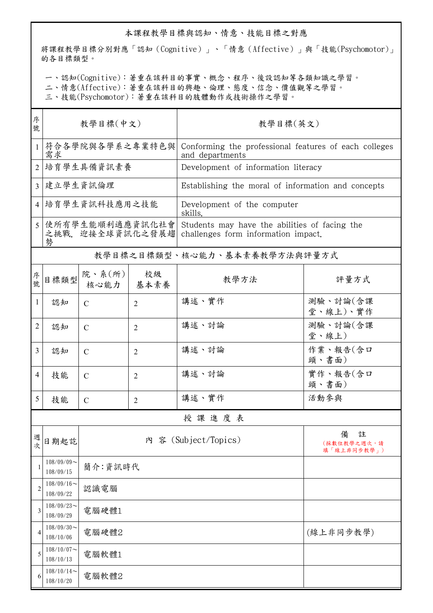## 本課程教學目標與認知、情意、技能目標之對應

將課程教學目標分別對應「認知(Cognitive)」、「情意(Affective)」與「技能(Psychomotor)」 的各目標類型。

一、認知(Cognitive):著重在該科目的事實、概念、程序、後設認知等各類知識之學習。

二、情意(Affective):著重在該科目的興趣、倫理、態度、信念、價值觀等之學習。

三、技能(Psychomotor):著重在該科目的肢體動作或技術操作之學習。

| 序<br>號         | 教學目標(中文)                                  |                                 |                | 教學目標(英文)                                                                             |                                      |  |  |
|----------------|-------------------------------------------|---------------------------------|----------------|--------------------------------------------------------------------------------------|--------------------------------------|--|--|
| $\mathbf{1}$   | 符合各學院與各學系之專業特色與<br>需求                     |                                 |                | Conforming the professional features of each colleges<br>and departments             |                                      |  |  |
| $\overline{2}$ | 培育學生具備資訊素養                                |                                 |                | Development of information literacy                                                  |                                      |  |  |
| $\overline{3}$ | 建立學生資訊倫理                                  |                                 |                | Establishing the moral of information and concepts                                   |                                      |  |  |
| $\overline{4}$ | 培育學生資訊科技應用之技能                             |                                 |                | Development of the computer<br>skills.                                               |                                      |  |  |
|                | 5 使所有學生能順利適應資訊化社會<br>之挑戰、迎接全球資訊化之發展趨<br>勢 |                                 |                | Students may have the abilities of facing the<br>challenges form information impact. |                                      |  |  |
|                | 教學目標之目標類型、核心能力、基本素養教學方法與評量方式              |                                 |                |                                                                                      |                                      |  |  |
| 序號             | 目標類型                                      | 院、系 $(\text{m})$<br>核心能力   基本素養 | 校級             | 教學方法                                                                                 | 評量方式                                 |  |  |
| 1              | 認知                                        | $\mathcal{C}$                   | $\overline{2}$ | 講述、實作                                                                                | 測驗、討論(含課<br>堂、線上)、實作                 |  |  |
| 2              | 認知                                        | $\mathcal{C}$                   | $\overline{2}$ | 講述、討論                                                                                | 測驗、討論(含課<br>堂、線上)                    |  |  |
| 3              | 認知                                        | $\mathcal{C}$                   | 2              | 講述、討論                                                                                | 作業、報告(含口<br>頭、書面)                    |  |  |
| 4              | 技能                                        | $\mathcal{C}$                   | $\overline{2}$ | 講述、討論                                                                                | 實作、報告(含口<br>頭、書面)                    |  |  |
| 5              | 技能                                        | $\mathcal{C}$                   | $\overline{2}$ | 講述、實作                                                                                | 活動參與                                 |  |  |
| 授課進度表          |                                           |                                 |                |                                                                                      |                                      |  |  |
| 週<br>次         | 日期起訖                                      |                                 |                | 內 容 (Subject/Topics)                                                                 | 備<br>註<br>(採數位教學之週次,請<br>填「線上非同步教學」) |  |  |
| 1              | $108/09/09$ ~<br>108/09/15                | 簡介:資訊時代                         |                |                                                                                      |                                      |  |  |
| 2              | $108/09/16$ ~<br>108/09/22                | 認識電腦                            |                |                                                                                      |                                      |  |  |
| 3              | $108/09/23$ ~<br>108/09/29                | 電腦硬體1                           |                |                                                                                      |                                      |  |  |
| 4              | $108/09/30$ ~<br>108/10/06                | (線上非同步教學)<br>電腦硬體2              |                |                                                                                      |                                      |  |  |
| 5              | $108/10/07$ ~<br>108/10/13                | 電腦軟體1                           |                |                                                                                      |                                      |  |  |
| 6              | $108/10/14$ ~<br>108/10/20                | 電腦軟體2                           |                |                                                                                      |                                      |  |  |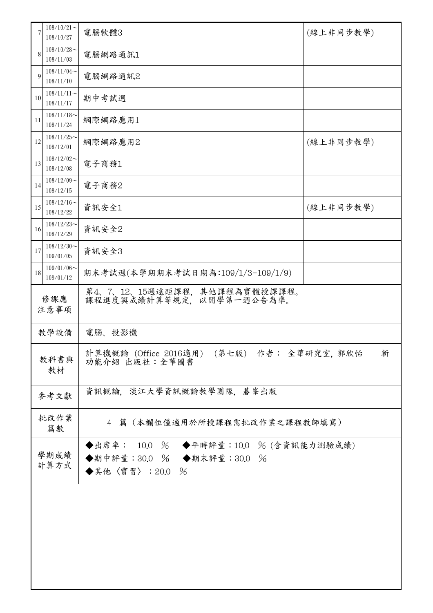| 7            | $108/10/21$ ~<br>108/10/27            | 電腦軟體3                                                                                 | (線上非同步教學) |  |
|--------------|---------------------------------------|---------------------------------------------------------------------------------------|-----------|--|
| 8            | $108/10/28$ ~<br>108/11/03            | 電腦網路通訊1                                                                               |           |  |
| 9            | $108/11/04$ ~<br>電腦網路通訊2<br>108/11/10 |                                                                                       |           |  |
| 10           | $108/11/11$ ~<br>108/11/17            | 期中考試週                                                                                 |           |  |
| 11           | $108/11/18$ ~<br>108/11/24            | 網際網路應用1                                                                               |           |  |
| 12           | $108/11/25$ ~<br>108/12/01            | 網際網路應用2                                                                               | (線上非同步教學) |  |
| 13           | $108/12/02$ ~<br>108/12/08            | 電子商務1                                                                                 |           |  |
| 14           | $108/12/09$ ~<br>108/12/15            | 電子商務2                                                                                 |           |  |
| 15           | $108/12/16 \sim$<br>108/12/22         | 資訊安全1                                                                                 | (線上非同步教學) |  |
| 16           | $108/12/23$ ~<br>108/12/29            | 資訊安全2                                                                                 |           |  |
| 17           | $108/12/30$ ~<br>109/01/05            | 資訊安全3                                                                                 |           |  |
| 18           | $109/01/06$ ~<br>109/01/12            | 期末考試週(本學期期末考試日期為:109/1/3-109/1/9)                                                     |           |  |
| 修課應<br>注意事項  |                                       | 第4、7、12、15週遠距課程,其他課程為實體授課課程。<br>課程進度與成績計算等規定, 以開學第一週公告為準。                             |           |  |
| 教學設備         |                                       | 電腦、投影機                                                                                |           |  |
| 教科書與<br>教材   |                                       | 計算機概論 (Office 2016適用)<br>(第七版) 作者: 全華研究室, 郭欣怡<br>新<br>功能介紹 出版社:全華圖書                   |           |  |
| 參考文獻         |                                       | 資訊概論,淡江大學資訊概論教學團隊,碁峯出版                                                                |           |  |
| 批改作業<br>篇數   |                                       | 篇(本欄位僅適用於所授課程需批改作業之課程教師填寫)<br>4                                                       |           |  |
| 學期成績<br>計算方式 |                                       | ◆出席率: 10.0 % ◆平時評量:10.0 % (含資訊能力測驗成績)<br>◆期中評量:30.0 % ◆期末評量:30.0 %<br>◆其他〈實習〉: 20.0 % |           |  |
|              |                                       |                                                                                       |           |  |